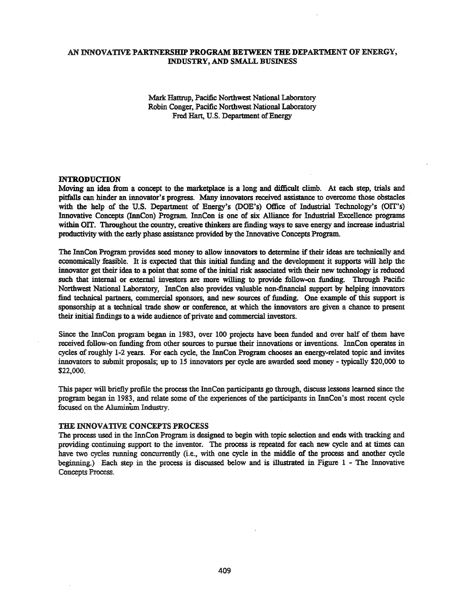# AN INNOVATIVE PARTNERSHIP PROGRAM BETWEEN THE DEPARTMENT OF ENERGY, INDUSTRY, AND SMALL BUSINESS

Mark Hattrup, Pacific Northwest National Laboratory Robin Conger, Pacific Northwest National Laboratory Fred Hart, U.S. Department of Energy

#### :INTRODUCTION

Moving an idea from a concept to the marketplace is a long and difficult climb. At each step, trials and pitfalls can hinder an innovator's progress. Many innovators received assistance to overcome those obstacles with the help of the U.S. Department of Energy's (DOE's) Office of Industrial Technology's (OIT's) Innovative Concepts (InnCon) Program. InnCon is one of six Alliance for Industrial Excellence programs within OIT. Throughout the country, creative thinkers are finding ways to save energy and increase industrial productivity with the early phase assistance provided by the Innovative Concepts Program.

The InnCon Program provides seed money to allow innovators to determine if their ideas are technically and economically feasible. It is expected that this initial funding and the development it supports will help the innovator get their idea to a point that some of the initial risk associated with their new technology is reduced such that internal or external investors are more willing to provide follow-on funding. Through Pacific Northwest National Laboratory, InnCon also provides valuable non-financial support by helping innovators find technical partners, commercial sponsors, and new sources of funding. One example of this support is sponsorship at a technical trade show or conference, at which the innovators are given a chance to present their initial findings to a wide audience of private and commercial investors.

Since the InnCon program began in 1983, over 100 projects have been funded and over half of them have received follow-on funding from other sources to pursue their innovations or inventions. InnCon operates in cycles ofroughly 1-2 years. For each cycle, the InnCon Program chooses an energy-related topic and invites innovators to submit proposals; up to 15 innovators per cycle are awarded seed money - typically \$20,000 to \$22,000.

This paper will briefly profile the process the InnCon participants go through, discuss lessons learned since the program began in 1983, and relate some of the experiences ofthe participants in InnCon's most recent cycle focused on the Aluminum Industry.

### THE INNOVATIVE CONCEPTS PROCESS

The process used in the InnCon Program is designed to begin with topic selection and ends with tracking and providing continuing support to the inventor. The process is repeated for each new cycle and at times can have two cycles running concurrently (i.e., with one cycle in the middle of the process and another cycle beginning.) Each step in the process is discussed below and is illustrated in Figure 1 - The Innovative Concepts Process.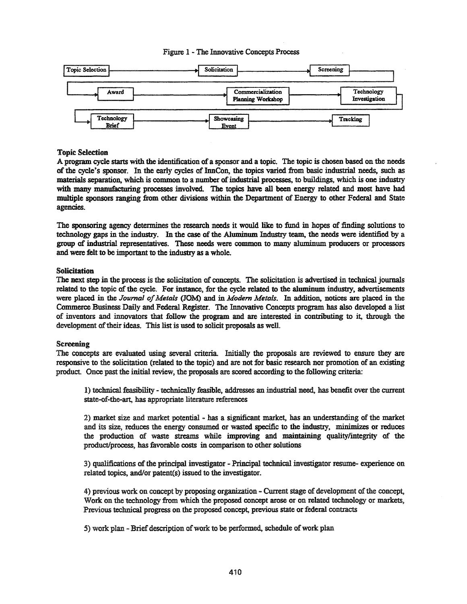# Figure 1 - The Innovative Concepts Process



## Topic Selection

A program cycle starts with the identification of a sponsor and a topic. The topic is chosen based on the needs of the cycle's sponsor. In the early cycles of InnCon, the topics varied from basic industrial needs, such as materials separation, which is common to a number of industrial processes, to buildings, which is one industry with many manufacturing processes involved. The topics have all been energy related and most have had multiple sponsors ranging from other divisions within the Department of Energy to other Federal and State agencies.

The sponsoring agency determines the research needs it would like to fund in hopes of finding solutions to technology gaps in the industry. In the case of the Aluminum Industry team, the needs were identified by a group of industrial representatives. These needs were common to many aluminum producers or processors and were felt to be important to the industry as a whole.

# Solicitation

The next step in the process is the solicitation of concepts. The solicitation is advertised in technical journals related to the topic of the cycle. For instance, for the cycle related to the aluminum industry, advertisements were placed in the *Journal of Metals* (JOM) and in *Modern Metals*. In addition, notices are placed in the Commerce Business Daily and Federal Register. The Innovative Concepts program has also developed a list of inventors and innovators that follow the program and are interested in contributing to it, through the development of their ideas. This list is used to solicit proposals as well.

### **Screening**

The concepts are evaluated using several criteria. Initially the proposals are reviewed to ensure they are responsive to the solicitation (related to the topic) and are not for basic research nor promotion of an existing product. Once past the initial review, the proposals are scored according to the following criteria:

1) technical feasibility - technically feastble, addresses an industrial need, has benefit over the current state-of-the-art, has appropriate literature references

2) market size and market potential - has a significant market, has an understanding of the market and its size, reduces the energy consumed or wasted specific to the industry, minimizes or reduces the production of waste streams while improving and maintaining quality/integrity of the product/process, has favorable costs in comparison to other solutions

3) qualifications ofthe principal investigator - Principal technical investigator resume- experience on related topics, and/or patent(s) issued to the investigator.

4) previous work on concept by proposing organization - Current stage of development of the concept, Work on the technology from which the proposed concept arose or on related technology or markets, Previous technical progress on the proposed concept, previous state or federal contracts

5) work plan - Brief description of work to be performed, schedule of work plan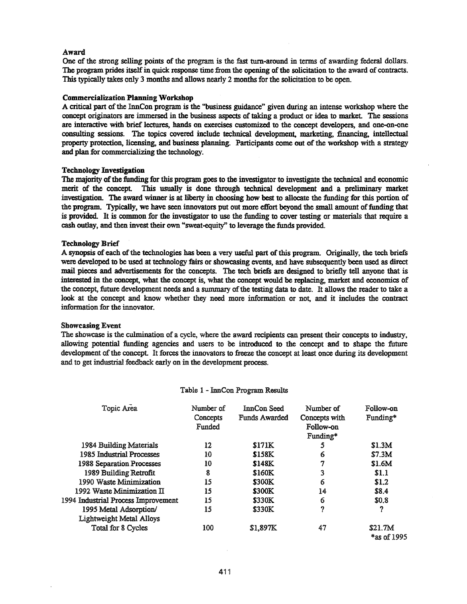### Award

One of the strong selling points of the program is the fast tum-around in terms of awarding federal dollars. The program prides itself in quick response time from the opening of the solicitation to the award of contracts. This typically takes only 3 months and allows nearly 2 months for the solicitation to be open.

### Commercialization Planning Workshop

A critical part of the InnCon program is the "business guidance" given during an intense workshop where the concept originators are immersed in the business aspects of taking a product or idea to market. The sessions are interactive with brief lectures, hands on exercises customized to the concept developers, and one-on-one consulting sessions. The topics covered include technical development, marketing, financing, intellectual property protection, licensing, and business planning. Participants come out of the workshop with a strategy and plan for commercializing the technology.

### Technology Investigation

The majority of the funding for this program goes to the investigator to investigate the technical and economic merit of the concept. This usually is done through technical development and a preliminary market investigation. The award winner is at liberty in choosing how best to allocate the funding for this portion of the program. Typically, we have seen innovators put out more effort beyond the small amount of funding that is provided. It is common for the investigator to use the funding to cover testing or materials that require a cash outlay, and then invest their own "sweat-equity" to leverage the funds provided.

#### Technology Brief

A synopsis of each of the technologies has been a very useful part of this program. Originally, the tech briefs were developed to be used at technology fairs or showcasing events, and have subsequently been used as direct mail pieces and advertisements for the concepts. The tech briefs are designed to briefly tell anyone that is interested in the concept, what the concept is, what the concept would be replacing, market and economics of the concept, future development needs and a summary of the testing data to date. It allows the reader to take a look at the concept and know whether they need more information or not, and it includes the contract information for the innovator.

#### Showcasing Event

The showcase is the culmination of a cycle, where the award recipients can present their concepts to industry, allowing potential funding agencies and users to be introduced to the concept and to shape the future development of the concept. It forces the innovators to freeze the concept at least once during its development and to get industrial feedback early on in the development process.

| Topic Area                          | Number of<br>Concepts<br>Funded | InnCon Seed<br><b>Funds Awarded</b> | Number of<br>Concepts with<br>Follow-on<br>Funding* | Follow-on<br>Funding*  |
|-------------------------------------|---------------------------------|-------------------------------------|-----------------------------------------------------|------------------------|
| 1984 Building Materials             | 12                              | \$171K                              | 5                                                   | \$1.3M                 |
| 1985 Industrial Processes           | 10                              | <b>S158K</b>                        | 6                                                   | \$7.3M                 |
| <b>1988 Separation Processes</b>    | 10                              | <b>S148K</b>                        | 7                                                   | \$1.6M                 |
| 1989 Building Retrofit              | 8                               | \$160K                              | 3                                                   | \$1.1                  |
| 1990 Waste Minimization             | 15                              | \$300K                              | 6                                                   | \$1.2                  |
| 1992 Waste Minimization II          | 15                              | \$300K                              | 14                                                  | \$8.4                  |
| 1994 Industrial Process Improvement | 15                              | \$330K                              | 6                                                   | \$0.8                  |
| 1995 Metal Adsorption/              | 15                              | \$330K                              | ?                                                   | 9                      |
| <b>Lightweight Metal Alloys</b>     |                                 |                                     |                                                     |                        |
| <b>Total for 8 Cycles</b>           | 100                             | \$1,897K                            | 47                                                  | \$21.7M<br>*as of 1995 |

#### Table 1 - InnCon Program Results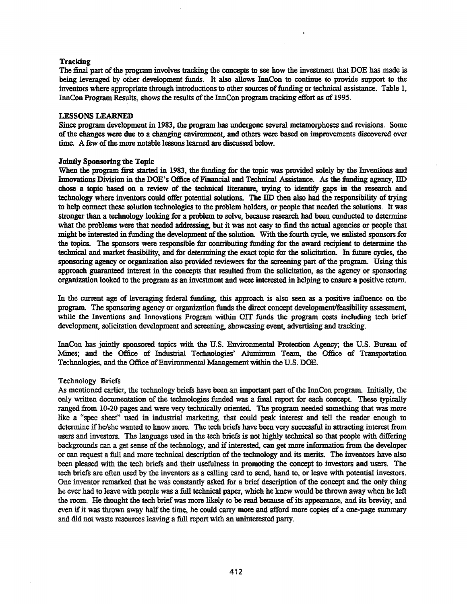## **Tracking**

The final part of the program involves tracking the concepts to see how the investment that DOE has made is being leveraged by other development funds. It also allows InnCon to continue to provide support to the inventors where appropriate through introductions to other sources of funding or technical assistance. Table 1, InnCon Program Results, shows the results of the InnCon program tracking effort as of 1995.

### LESSONS LEARNED

Since program development in 1983, the program has undergone several metamorphoses and revisions. Some ofthe changes were due to a changing environment, and others were based on improvements discovered over time. A few of the more notable lessons learned are discussed below.

### Jointly Sponsoring the Topic

When the program first started in 1983, the funding for the topic was provided solely by the Inventions and Innovations Division in the DOE's Office of Financial and Technical Assistance. As the funding agency, IID chose a topic based on a review of the technical literature, trying to identify gaps in the research and technology where inventors could offer potential solutions. The IID then also had the responsibility of trying to help connect these solution technologies to the problem holders, or people that needed the solutions. It was stronger than a technology looking for a problem to solve, because research had been conducted to determine what the problems were that needed addressing, but it was not easy to find the actual agencies or people that might be interested in funding the development of the solution. With the fourth cycle, we enlisted sponsors for the topics. The sponsors were responsible for contributing funding for the award recipient to determine the technical and market feasibility, and for determining the exact topic for the solicitation. In future cycles, the sponsoring agency or organization also provided reviewers for the screening part of the program. Using this approach guaranteed interest in the concepts that resulted from the solicitation, as the agency or sponsoring organization looked to the program as an investment and were interested in helping to ensure a positive return.

In the current age of leveraging federal funding, this approach is also seen as a positive influence on the program. The sponsoring agency or organization funds the direct concept development/feasibility assessment, while the Inventions and Innovations Program within OIT funds the program costs including tech brief development, solicitation development and screening, showcasing event, advertising and tracking.

InnCon has jointly sponsored topics with the U.S. Environmental Protection Agency; the U.S. Bureau of Mines; and the Office of Industrial Technologies' Aluminum Team, the Office of Transportation Technologies, and the Office of Environmental Management within the U.S. DOE.

### Technology Briefs

As mentioned earlier, the technology briefs have been an important part of the InnCon program. Initially, the only written documentation of the technologies funded was a final report for each concept. These typically ranged from 10-20 pages and were very technically oriented. The program needed something that was more like a "spec sheet" used in industrial marketing, that could peak interest and tell the reader enough to determine if he/she wanted to know more. The tech briefs have been very successful in attracting interest from users and investors. The language used in the tech briefs is not highly technical so that people with differing backgrounds can a get sense of the technology, and if interested, can get more information from the developer or can request a full and more technical description of the technology and its merits. The inventors have also been pleased with the tech briefs and their usefulness in promoting the concept to investors and users. The tech briefs are often used by the inventors as a calling card to send, hand to, or leave with potential investors. One inventor remarked that he was constantly asked for a brief description of the concept and the only thing he ever had to leave with people was a full technical paper, which he knew would be thrown away when he left the room. He thought the tech brief was more likely to be read because of its appearance, and its brevity, and even if it was thrown away half the time, he could carry more and afford more copies of a one-page summary and did not waste resources leaving a full report with an uninterested party.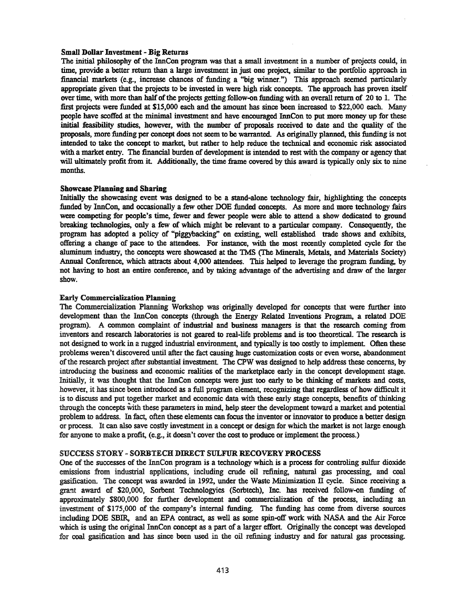### Small Dollar Investment - Big Returns

The initial philosophy of the InnCon program was that a small investment in a number of projects could, in time, provide a better return than a large investment in just one project, similar to the portfolio approach in financial markets (e.g., increase chances of funding a "big winner.") This approach seemed particularly appropriate given that the projects to be invested in were high risk concepts. The approach has proven itself over time, with more than half of the projects getting follow-on funding with an overall return of 20 to 1. The first projects were funded at \$15,000 each and the amount has since been increased to \$22,000 each. Many people have scoffed at the minima] investment and have encouraged InnCon to put more money up for these initial feasibility studies, however, with the number of proposals received to date and the quality of the proposals, more funding per concept does not seem to be warranted. As originally planned, this funding is not intended to take the concept to market, but rather to help reduce the technical and economic risk associated with a market entry. The financial burden of development is intended to rest with the company or agency that will ultimately profit from it. Additionally, the time frame covered by this award is typically only six to nine months.

## Showcase Planning and Sharing

Initially the showcasing event was designed to be a stand-alone technology fair, highlighting the concepts funded by InnCon, and occasionally a few other DOE funded concepts. As more and more technology fairs were competing for people's time, fewer and fewer people were able to attend a show dedicated to ground breaking technologies, only a few of which might be relevant to a particular company. Consequently, the program has adopted a policy of "piggybacking" on existing, well established trade shows and exhibits, offering a change of pace to the attendees. For instance, with the most recently completed cycle for the aluminum industty, the concepts were showcased at the 1MS (The Minerals, Metals, and Materials Society) Annual Conference, which attracts about 4,000 attendees. This helped to leverage the program funding, by not having to host an entire conference, and by taking advantage of the advertising and draw of the larger show.

### Early Commercialization Planning

The Commercialization Planning Workshop was originally developed for concepts that were further into development than the InnCon concepts (through the Energy Related Inventions Program, a related DOE program). A common complaint of industrial and business managers is that the research coming from inventors and research laboratories is not geared to real-life problems and is too theoretical. The research is not designed to work in a rugged industrial environment, and typically is too costly to implement. Often these problems weren't discovered until after the fact causing huge eustomization costs or even worse, abandonment of the research project after substantial investment. The CPW was designed to help address these concerns, by introducing the business and economic realities of the marketplace early in the concept development stage. Initially, it was thought that the InnCon concepts were just too early to be thinking of markets and costs, however, it has since been introduced as a full program element, recognizing that regardless of how difficult it is to discuss and put together market and economic data with these early stage concepts, benefits of thinking through the concepts With these parameters in mind, help steer the development toward a market and potential problem to address. In fact, often these elements can focus the inventor or innovator to produce a better design or process. It can also save costly investment in a concept or design for which the market is not large enough for anyone to make a profit, (e.g., it doesn't cover the cost to produce or implement the process.)

### SUCCESS STORY - SORBTECH DIRECT SULFUR RECOVERY PROCESS

One of the successes of the InnCon program is a technology which is a process for controling sulfur dioxide emissions from industrial applications, including crude oil refining, natural gas processing, and coal gasification. The concept was awarded in 1992, under the Waste Minimization II cycle. Since receiving a grant award of \$20,000, Sorbent Technologyies (Sorbtech), Inc. has received follow-on funding of approximately \$800,000 for further development and commercialization of the process, including an investment of \$175,000 of the company's internal funding. The funding has come from diverse sources including DOE SBIR, and an EPA contract, as well as some spin-off work with NASA and the Air Force which is using the original InnCon concept as a part of a larger effort. Originally the concept was developed for coal gasification and has since been used in the oil refining industty and for natural gas processing.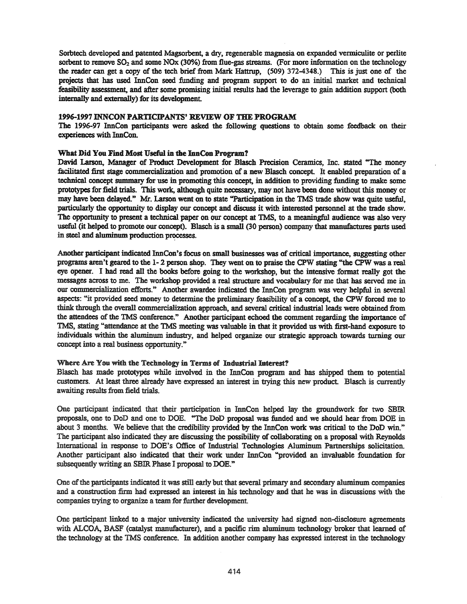Sorbtech developed and patented Magsorbent, a dry, regenerable magnesia on expanded vermiculite or perlite sorbent to remove  $SO_2$  and some NOx (30%) from flue-gas streams. (For more information on the technology the reader can get a copy of the tech brief from Mark Hattrup, (509) 372-4348.) This is just one of the projects that has used InnCon seed funding and program support to do an initial market and technical feasibility assessment, and after some promising initial results had the leverage to gain addition support (both internally and externally) for its development

### 1996-1997 INNCON PARTICIPANTS' REVIEW OF THE PROGRAM

The 1996-97 InnCon participants were asked the following questions 10 obtain some feedback on their experiences with InnCon.

# What Did You. Find Most Useful in the InnCon Program?

David Larson, Manager of Product Development for Blasch Precision Ceramics, Inc. stated "The money facilitated first stage commercialization and promotion of a new Blasch concept. It enabled preparation of a technical concept summary for use in promoting this concept, in addition to providing funding to make some prototypes for field trials. This work, although quite necessary, may not have been done without this money or may have been delayed." Mr. Larson went on to state "Participation in the TMS trade show was quite useful, particularly the opportunity to display our concept and diScuss it with interested personnel at the trade show. The opportunity to present a technical paper on our concept at TMS, to a meaningful audience was also very useful (it helped to promote our concept). Blasch is a small (30 person) company that manufactures parts used in steel and aluminum production processes.

Another participant indicated InnCon's focus on small businesses was of critical importance, suggesting other programs aren't geared to the 1- 2 person shop. They went on 10 praise the CPW stating "the CPW was a real eye opener. I had read all the books before going to the workshop, but the intensive format really got the messages across to me. The workshop provided a real structure and vocabulary for me that has served me in our commercialization efforts." Another awardee indicated the InnCon program was very helpful in several aspects: "it provided seed money to determine the preliminary feasibility of a concept, the CPW forced me to think through the overall commercialization approach, and several critical industrial leads were obtained from the attendees of the 'IMS conference." Another participant echoed the comment regarding the importance of TMS, stating "attendance at the TMS meeting was valuable in that it provided us with first-hand exposure to individuals within the aluminum industry, and helped organize our strategic approach towards turning our concept into a real business opportunity."

### Where Are You with the Teclmology in Terms of Industrial Interest?

Blasch has made prototypes while involved in the InnCon program and has shipped them to potential customers. At least three already have expressed an interest in trying this new product Blasch is currently awaiting results from field trials.

One participant indicated that their participation in InnCon helped lay the groundwork for two SBIR proposals, one to DoD and one to DOE. "The DoD proposal was funded and we should hear from DOE in about 3 months. We believe that the credibility provided by the InnCon work was critical to the DoD win." The participant also indicated they are discussing the possibility of collaborating on a proposal with Reynolds International in response to DOE's Office of Industrial Technologies Aluminum Partnerships solicitation. Another participant also indicated that their work under InnCon "provided an invaluable foundation for subsequently writing an SBIR Phase I proposal to DOE."

One ofthe participants indicated it was still early but that several primary and secondary aluminum companies and a construction firm had expressed an interest in his technology and that he was in discussions with the companies trying to organize a team for further development

One participant linked 10 a major university indicated the university had signed non-disclosure agreements with ALCOA, BASF (catalyst manufacturer), and a pacific rim aluminum technology broker that learned of the technology at the 1MS conference. In addition another company has expressed interest in the technology